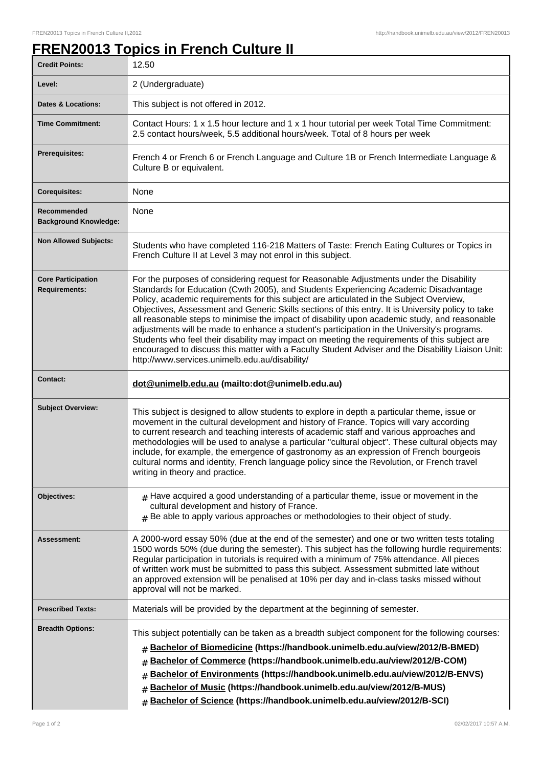## **FREN20013 Topics in French Culture II**

| <b>Credit Points:</b>                             | 12.50                                                                                                                                                                                                                                                                                                                                                                                                                                                                                                                                                                                                                                                                                                                                                                                                                                   |
|---------------------------------------------------|-----------------------------------------------------------------------------------------------------------------------------------------------------------------------------------------------------------------------------------------------------------------------------------------------------------------------------------------------------------------------------------------------------------------------------------------------------------------------------------------------------------------------------------------------------------------------------------------------------------------------------------------------------------------------------------------------------------------------------------------------------------------------------------------------------------------------------------------|
| Level:                                            | 2 (Undergraduate)                                                                                                                                                                                                                                                                                                                                                                                                                                                                                                                                                                                                                                                                                                                                                                                                                       |
| <b>Dates &amp; Locations:</b>                     | This subject is not offered in 2012.                                                                                                                                                                                                                                                                                                                                                                                                                                                                                                                                                                                                                                                                                                                                                                                                    |
| <b>Time Commitment:</b>                           | Contact Hours: 1 x 1.5 hour lecture and 1 x 1 hour tutorial per week Total Time Commitment:<br>2.5 contact hours/week, 5.5 additional hours/week. Total of 8 hours per week                                                                                                                                                                                                                                                                                                                                                                                                                                                                                                                                                                                                                                                             |
| <b>Prerequisites:</b>                             | French 4 or French 6 or French Language and Culture 1B or French Intermediate Language &<br>Culture B or equivalent.                                                                                                                                                                                                                                                                                                                                                                                                                                                                                                                                                                                                                                                                                                                    |
| <b>Corequisites:</b>                              | None                                                                                                                                                                                                                                                                                                                                                                                                                                                                                                                                                                                                                                                                                                                                                                                                                                    |
| Recommended<br><b>Background Knowledge:</b>       | None                                                                                                                                                                                                                                                                                                                                                                                                                                                                                                                                                                                                                                                                                                                                                                                                                                    |
| <b>Non Allowed Subjects:</b>                      | Students who have completed 116-218 Matters of Taste: French Eating Cultures or Topics in<br>French Culture II at Level 3 may not enrol in this subject.                                                                                                                                                                                                                                                                                                                                                                                                                                                                                                                                                                                                                                                                                |
| <b>Core Participation</b><br><b>Requirements:</b> | For the purposes of considering request for Reasonable Adjustments under the Disability<br>Standards for Education (Cwth 2005), and Students Experiencing Academic Disadvantage<br>Policy, academic requirements for this subject are articulated in the Subject Overview,<br>Objectives, Assessment and Generic Skills sections of this entry. It is University policy to take<br>all reasonable steps to minimise the impact of disability upon academic study, and reasonable<br>adjustments will be made to enhance a student's participation in the University's programs.<br>Students who feel their disability may impact on meeting the requirements of this subject are<br>encouraged to discuss this matter with a Faculty Student Adviser and the Disability Liaison Unit:<br>http://www.services.unimelb.edu.au/disability/ |
| <b>Contact:</b>                                   | dot@unimelb.edu.au (mailto:dot@unimelb.edu.au)                                                                                                                                                                                                                                                                                                                                                                                                                                                                                                                                                                                                                                                                                                                                                                                          |
| <b>Subject Overview:</b>                          | This subject is designed to allow students to explore in depth a particular theme, issue or<br>movement in the cultural development and history of France. Topics will vary according<br>to current research and teaching interests of academic staff and various approaches and<br>methodologies will be used to analyse a particular "cultural object". These cultural objects may<br>include, for example, the emergence of gastronomy as an expression of French bourgeois<br>cultural norms and identity, French language policy since the Revolution, or French travel<br>writing in theory and practice.                                                                                                                                                                                                                         |
| Objectives:                                       | $#$ Have acquired a good understanding of a particular theme, issue or movement in the<br>cultural development and history of France.<br>$#$ Be able to apply various approaches or methodologies to their object of study.                                                                                                                                                                                                                                                                                                                                                                                                                                                                                                                                                                                                             |
| Assessment:                                       | A 2000-word essay 50% (due at the end of the semester) and one or two written tests totaling<br>1500 words 50% (due during the semester). This subject has the following hurdle requirements:<br>Regular participation in tutorials is required with a minimum of 75% attendance. All pieces<br>of written work must be submitted to pass this subject. Assessment submitted late without<br>an approved extension will be penalised at 10% per day and in-class tasks missed without<br>approval will not be marked.                                                                                                                                                                                                                                                                                                                   |
| <b>Prescribed Texts:</b>                          | Materials will be provided by the department at the beginning of semester.                                                                                                                                                                                                                                                                                                                                                                                                                                                                                                                                                                                                                                                                                                                                                              |
| <b>Breadth Options:</b>                           | This subject potentially can be taken as a breadth subject component for the following courses:<br>Bachelor of Biomedicine (https://handbook.unimelb.edu.au/view/2012/B-BMED)<br>#<br>Bachelor of Commerce (https://handbook.unimelb.edu.au/view/2012/B-COM)<br>Bachelor of Environments (https://handbook.unimelb.edu.au/view/2012/B-ENVS)<br>#<br>Bachelor of Music (https://handbook.unimelb.edu.au/view/2012/B-MUS)<br>#<br>Bachelor of Science (https://handbook.unimelb.edu.au/view/2012/B-SCI)<br>#                                                                                                                                                                                                                                                                                                                              |